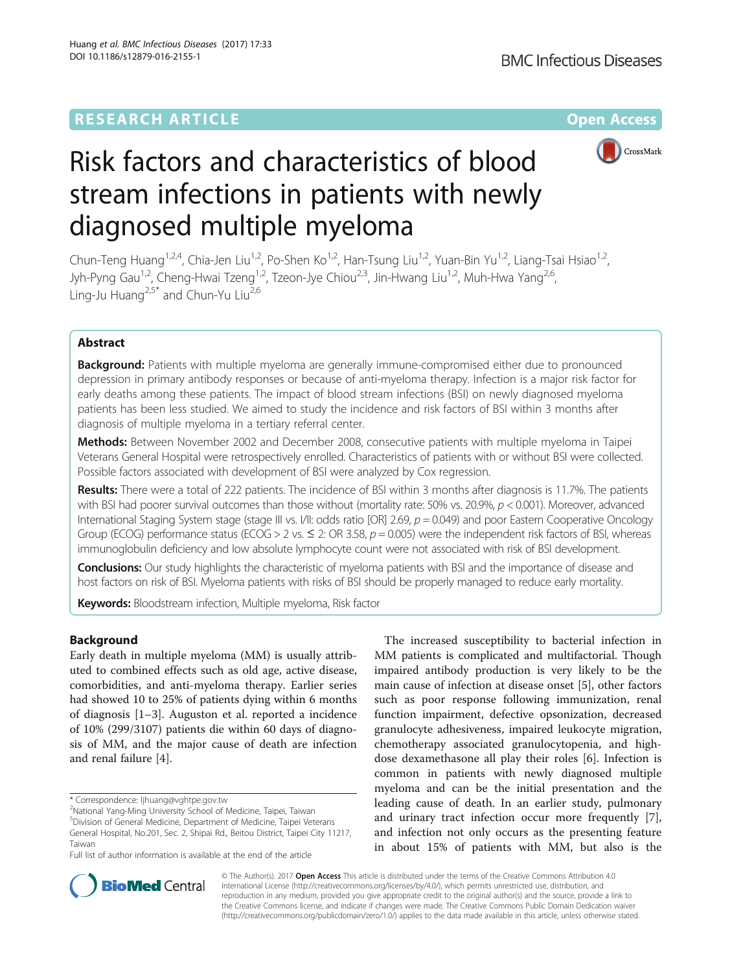## **RESEARCH ARTICLE Example 2014 12:30 The Contract of Contract ACCESS**



# Risk factors and characteristics of blood stream infections in patients with newly diagnosed multiple myeloma

Chun-Teng Huang<sup>1,2,4</sup>, Chia-Jen Liu<sup>1,2</sup>, Po-Shen Ko<sup>1,2</sup>, Han-Tsung Liu<sup>1,2</sup>, Yuan-Bin Yu<sup>1,2</sup>, Liang-Tsai Hsiao<sup>1,2</sup>, Jyh-Pyng Gau<sup>1,2</sup>, Cheng-Hwai Tzeng<sup>1,2</sup>, Tzeon-Jye Chiou<sup>2,3</sup>, Jin-Hwang Liu<sup>1,2</sup>, Muh-Hwa Yang<sup>2,6</sup>, Ling-Ju Huang<sup>2,5\*</sup> and Chun-Yu Liu<sup>2,6</sup>

## Abstract

**Background:** Patients with multiple myeloma are generally immune-compromised either due to pronounced depression in primary antibody responses or because of anti-myeloma therapy. Infection is a major risk factor for early deaths among these patients. The impact of blood stream infections (BSI) on newly diagnosed myeloma patients has been less studied. We aimed to study the incidence and risk factors of BSI within 3 months after diagnosis of multiple myeloma in a tertiary referral center.

Methods: Between November 2002 and December 2008, consecutive patients with multiple myeloma in Taipei Veterans General Hospital were retrospectively enrolled. Characteristics of patients with or without BSI were collected. Possible factors associated with development of BSI were analyzed by Cox regression.

Results: There were a total of 222 patients. The incidence of BSI within 3 months after diagnosis is 11.7%. The patients with BSI had poorer survival outcomes than those without (mortality rate: 50% vs. 20.9%, p < 0.001). Moreover, advanced International Staging System stage (stage III vs. I/II: odds ratio [OR] 2.69,  $p = 0.049$ ) and poor Eastern Cooperative Oncology Group (ECOG) performance status (ECOG > 2 vs.  $\leq$  2: OR 3.58,  $p = 0.005$ ) were the independent risk factors of BSI, whereas immunoglobulin deficiency and low absolute lymphocyte count were not associated with risk of BSI development.

Conclusions: Our study highlights the characteristic of myeloma patients with BSI and the importance of disease and host factors on risk of BSI. Myeloma patients with risks of BSI should be properly managed to reduce early mortality.

Keywords: Bloodstream infection, Multiple myeloma, Risk factor

## Background

Early death in multiple myeloma (MM) is usually attributed to combined effects such as old age, active disease, comorbidities, and anti-myeloma therapy. Earlier series had showed 10 to 25% of patients dying within 6 months of diagnosis [[1](#page-6-0)–[3\]](#page-6-0). Auguston et al. reported a incidence of 10% (299/3107) patients die within 60 days of diagnosis of MM, and the major cause of death are infection and renal failure [[4\]](#page-6-0).

5 Division of General Medicine, Department of Medicine, Taipei Veterans General Hospital, No.201, Sec. 2, Shipai Rd., Beitou District, Taipei City 11217,

Full list of author information is available at the end of the article

The increased susceptibility to bacterial infection in MM patients is complicated and multifactorial. Though impaired antibody production is very likely to be the main cause of infection at disease onset [\[5](#page-6-0)], other factors such as poor response following immunization, renal function impairment, defective opsonization, decreased granulocyte adhesiveness, impaired leukocyte migration, chemotherapy associated granulocytopenia, and highdose dexamethasone all play their roles [[6](#page-6-0)]. Infection is common in patients with newly diagnosed multiple myeloma and can be the initial presentation and the leading cause of death. In an earlier study, pulmonary and urinary tract infection occur more frequently [\[7](#page-6-0)], and infection not only occurs as the presenting feature in about 15% of patients with MM, but also is the



© The Author(s). 2017 **Open Access** This article is distributed under the terms of the Creative Commons Attribution 4.0 International License [\(http://creativecommons.org/licenses/by/4.0/](http://creativecommons.org/licenses/by/4.0/)), which permits unrestricted use, distribution, and reproduction in any medium, provided you give appropriate credit to the original author(s) and the source, provide a link to the Creative Commons license, and indicate if changes were made. The Creative Commons Public Domain Dedication waiver [\(http://creativecommons.org/publicdomain/zero/1.0/](http://creativecommons.org/publicdomain/zero/1.0/)) applies to the data made available in this article, unless otherwise stated.

<sup>\*</sup> Correspondence: [ljhuang@vghtpe.gov.tw](mailto:ljhuang@vghtpe.gov.tw) <sup>2</sup>

National Yang-Ming University School of Medicine, Taipei, Taiwan

Taiwan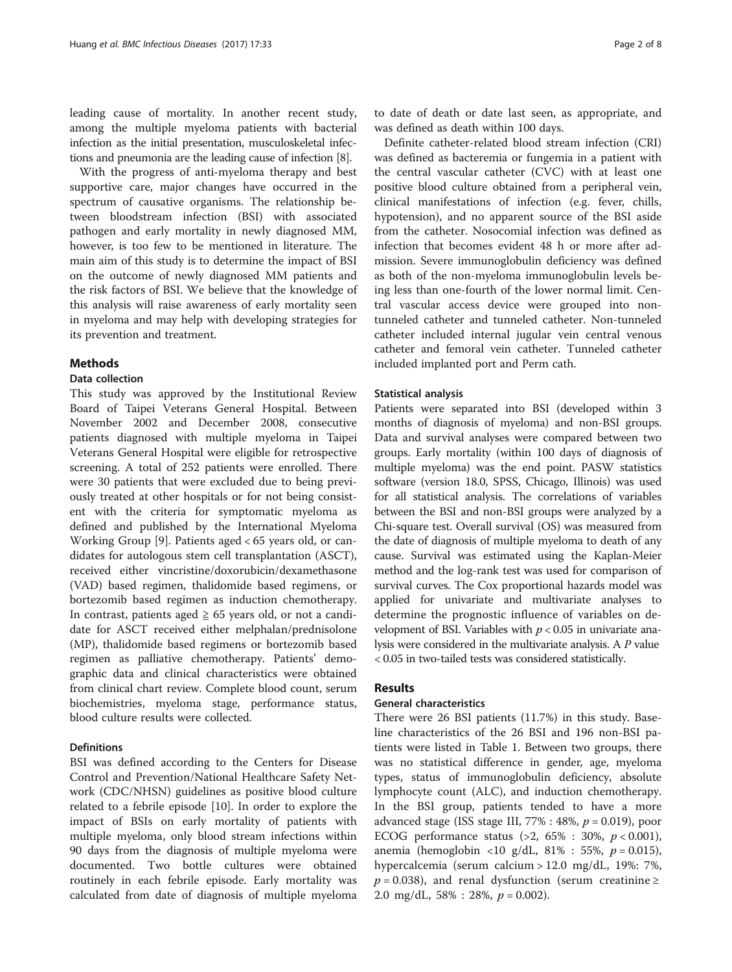leading cause of mortality. In another recent study, among the multiple myeloma patients with bacterial infection as the initial presentation, musculoskeletal infections and pneumonia are the leading cause of infection [[8](#page-6-0)].

With the progress of anti-myeloma therapy and best supportive care, major changes have occurred in the spectrum of causative organisms. The relationship between bloodstream infection (BSI) with associated pathogen and early mortality in newly diagnosed MM, however, is too few to be mentioned in literature. The main aim of this study is to determine the impact of BSI on the outcome of newly diagnosed MM patients and the risk factors of BSI. We believe that the knowledge of this analysis will raise awareness of early mortality seen in myeloma and may help with developing strategies for its prevention and treatment.

## Methods

#### Data collection

This study was approved by the Institutional Review Board of Taipei Veterans General Hospital. Between November 2002 and December 2008, consecutive patients diagnosed with multiple myeloma in Taipei Veterans General Hospital were eligible for retrospective screening. A total of 252 patients were enrolled. There were 30 patients that were excluded due to being previously treated at other hospitals or for not being consistent with the criteria for symptomatic myeloma as defined and published by the International Myeloma Working Group [\[9\]](#page-6-0). Patients aged < 65 years old, or candidates for autologous stem cell transplantation (ASCT), received either vincristine/doxorubicin/dexamethasone (VAD) based regimen, thalidomide based regimens, or bortezomib based regimen as induction chemotherapy. In contrast, patients aged  $\geq$  65 years old, or not a candidate for ASCT received either melphalan/prednisolone (MP), thalidomide based regimens or bortezomib based regimen as palliative chemotherapy. Patients' demographic data and clinical characteristics were obtained from clinical chart review. Complete blood count, serum biochemistries, myeloma stage, performance status, blood culture results were collected.

## Definitions

BSI was defined according to the Centers for Disease Control and Prevention/National Healthcare Safety Network (CDC/NHSN) guidelines as positive blood culture related to a febrile episode [[10\]](#page-6-0). In order to explore the impact of BSIs on early mortality of patients with multiple myeloma, only blood stream infections within 90 days from the diagnosis of multiple myeloma were documented. Two bottle cultures were obtained routinely in each febrile episode. Early mortality was calculated from date of diagnosis of multiple myeloma

to date of death or date last seen, as appropriate, and was defined as death within 100 days.

Definite catheter-related blood stream infection (CRI) was defined as bacteremia or fungemia in a patient with the central vascular catheter (CVC) with at least one positive blood culture obtained from a peripheral vein, clinical manifestations of infection (e.g. fever, chills, hypotension), and no apparent source of the BSI aside from the catheter. Nosocomial infection was defined as infection that becomes evident 48 h or more after admission. Severe immunoglobulin deficiency was defined as both of the non-myeloma immunoglobulin levels being less than one-fourth of the lower normal limit. Central vascular access device were grouped into nontunneled catheter and tunneled catheter. Non-tunneled catheter included internal jugular vein central venous catheter and femoral vein catheter. Tunneled catheter included implanted port and Perm cath.

### Statistical analysis

Patients were separated into BSI (developed within 3 months of diagnosis of myeloma) and non-BSI groups. Data and survival analyses were compared between two groups. Early mortality (within 100 days of diagnosis of multiple myeloma) was the end point. PASW statistics software (version 18.0, SPSS, Chicago, Illinois) was used for all statistical analysis. The correlations of variables between the BSI and non-BSI groups were analyzed by a Chi-square test. Overall survival (OS) was measured from the date of diagnosis of multiple myeloma to death of any cause. Survival was estimated using the Kaplan-Meier method and the log-rank test was used for comparison of survival curves. The Cox proportional hazards model was applied for univariate and multivariate analyses to determine the prognostic influence of variables on development of BSI. Variables with  $p < 0.05$  in univariate analysis were considered in the multivariate analysis. A P value < 0.05 in two-tailed tests was considered statistically.

## Results

## General characteristics

There were 26 BSI patients (11.7%) in this study. Baseline characteristics of the 26 BSI and 196 non-BSI patients were listed in Table [1](#page-2-0). Between two groups, there was no statistical difference in gender, age, myeloma types, status of immunoglobulin deficiency, absolute lymphocyte count (ALC), and induction chemotherapy. In the BSI group, patients tended to have a more advanced stage (ISS stage III,  $77\%$  : 48%,  $p = 0.019$ ), poor ECOG performance status (>2, 65% : 30%,  $p < 0.001$ ), anemia (hemoglobin <10 g/dL, 81% : 55%,  $p = 0.015$ ), hypercalcemia (serum calcium > 12.0 mg/dL, 19%: 7%,  $p = 0.038$ ), and renal dysfunction (serum creatinine ≥ 2.0 mg/dL, 58% : 28%,  $p = 0.002$ ).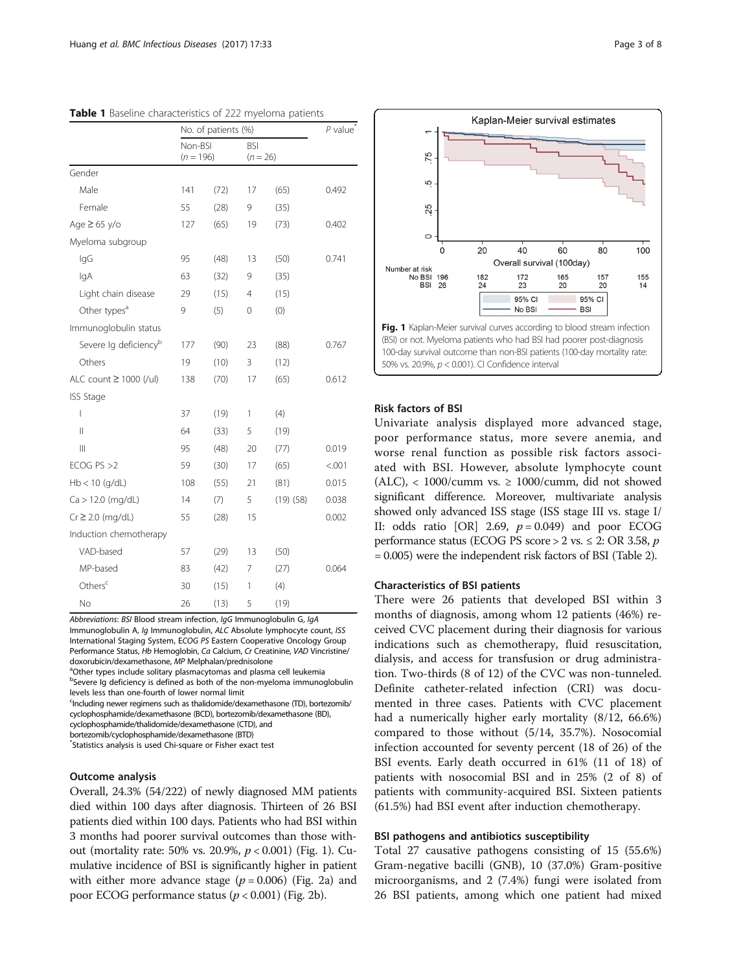|                                   | No. of patients (%)    |      | $P$ value                |               |        |  |
|-----------------------------------|------------------------|------|--------------------------|---------------|--------|--|
|                                   | Non-BSI<br>$(n = 196)$ |      | <b>BSI</b><br>$(n = 26)$ |               |        |  |
| Gender                            |                        |      |                          |               |        |  |
| Male                              | 141                    | (72) | 17                       | (65)          | 0.492  |  |
| Female                            | 55                     | (28) | 9                        | (35)          |        |  |
| Age $\geq 65$ y/o                 | 127                    | (65) | 19                       | (73)          | 0.402  |  |
| Myeloma subgroup                  |                        |      |                          |               |        |  |
| lgG                               | 95                     | (48) | 13                       | (50)          | 0.741  |  |
| lgA                               | 63                     | (32) | 9                        | (35)          |        |  |
| Light chain disease               | 29                     | (15) | 4                        | (15)          |        |  |
| Other types <sup>a</sup>          | 9                      | (5)  | 0                        | (0)           |        |  |
| Immunoglobulin status             |                        |      |                          |               |        |  |
| Severe lg deficiency <sup>b</sup> | 177                    | (90) | 23                       | (88)          | 0.767  |  |
| Others                            | 19                     | (10) | 3                        | (12)          |        |  |
| ALC count ≥ 1000 (/ul)            | 138                    | (70) | 17                       | (65)          | 0.612  |  |
| <b>ISS Stage</b>                  |                        |      |                          |               |        |  |
| $\overline{\phantom{a}}$          | 37                     | (19) | 1                        | (4)           |        |  |
| $\mathsf{II}$                     | 64                     | (33) | 5                        | (19)          |        |  |
| $\mathbb{H}$                      | 95                     | (48) | 20                       | (77)          | 0.019  |  |
| ECOG $PS > 2$                     | 59                     | (30) | 17                       | (65)          | < .001 |  |
| $Hb < 10$ (g/dL)                  | 108                    | (55) | 21                       | (81)          | 0.015  |  |
| $Ca > 12.0$ (mg/dL)               | 14                     | (7)  | 5                        | $(19)$ $(58)$ | 0.038  |  |
| $Cr \geq 2.0$ (mg/dL)             | 55                     | (28) | 15                       |               | 0.002  |  |
| Induction chemotherapy            |                        |      |                          |               |        |  |
| VAD-based                         | 57                     | (29) | 13                       | (50)          |        |  |
| MP-based                          | 83                     | (42) | 7                        | (27)          | 0.064  |  |
| Others <sup>c</sup>               | 30                     | (15) | 1                        | (4)           |        |  |
| No                                | 26                     | (13) | 5                        | (19)          |        |  |

<span id="page-2-0"></span>Table 1 Baseline characteristics of 222 myeloma patients

Abbreviations: BSI Blood stream infection, IgG Immunoglobulin G, IgA Immunoglobulin A, Ig Immunoglobulin, ALC Absolute lymphocyte count, ISS International Staging System, ECOG PS Eastern Cooperative Oncology Group Performance Status, Hb Hemoglobin, Ca Calcium, Cr Creatinine, VAD Vincristine/ doxorubicin/dexamethasone, MP Melphalan/prednisolone

<sup>a</sup>Other types include solitary plasmacytomas and plasma cell leukemia <sup>b</sup>Severe Ig deficiency is defined as both of the non-myeloma immunoglobulin levels less than one-fourth of lower normal limit

<sup>c</sup>Including newer regimens such as thalidomide/dexamethasone (TD), bortezomib/ cyclophosphamide/dexamethasone (BCD), bortezomib/dexamethasone (BD), cyclophosphamide/thalidomide/dexamethasone (CTD), and

bortezomib/cyclophosphamide/dexamethasone (BTD)

\* Statistics analysis is used Chi-square or Fisher exact test

## Outcome analysis

Overall, 24.3% (54/222) of newly diagnosed MM patients died within 100 days after diagnosis. Thirteen of 26 BSI patients died within 100 days. Patients who had BSI within 3 months had poorer survival outcomes than those without (mortality rate: 50% vs. 20.9%,  $p < 0.001$ ) (Fig. 1). Cumulative incidence of BSI is significantly higher in patient with either more advance stage ( $p = 0.006$ ) (Fig. [2a](#page-3-0)) and poor ECOG performance status ( $p < 0.001$ ) (Fig. [2b\)](#page-3-0).



## Risk factors of BSI

Univariate analysis displayed more advanced stage, poor performance status, more severe anemia, and worse renal function as possible risk factors associated with BSI. However, absolute lymphocyte count (ALC), < 1000/cumm vs.  $\geq$  1000/cumm, did not showed significant difference. Moreover, multivariate analysis showed only advanced ISS stage (ISS stage III vs. stage I/ II: odds ratio  $[OR]$  2.69,  $p = 0.049$  and poor ECOG performance status (ECOG PS score  $>$  2 vs.  $\leq$  2: OR 3.58, p = 0.005) were the independent risk factors of BSI (Table [2\)](#page-4-0).

## Characteristics of BSI patients

There were 26 patients that developed BSI within 3 months of diagnosis, among whom 12 patients (46%) received CVC placement during their diagnosis for various indications such as chemotherapy, fluid resuscitation, dialysis, and access for transfusion or drug administration. Two-thirds (8 of 12) of the CVC was non-tunneled. Definite catheter-related infection (CRI) was documented in three cases. Patients with CVC placement had a numerically higher early mortality (8/12, 66.6%) compared to those without (5/14, 35.7%). Nosocomial infection accounted for seventy percent (18 of 26) of the BSI events. Early death occurred in 61% (11 of 18) of patients with nosocomial BSI and in 25% (2 of 8) of patients with community-acquired BSI. Sixteen patients (61.5%) had BSI event after induction chemotherapy.

## BSI pathogens and antibiotics susceptibility

Total 27 causative pathogens consisting of 15 (55.6%) Gram-negative bacilli (GNB), 10 (37.0%) Gram-positive microorganisms, and 2 (7.4%) fungi were isolated from 26 BSI patients, among which one patient had mixed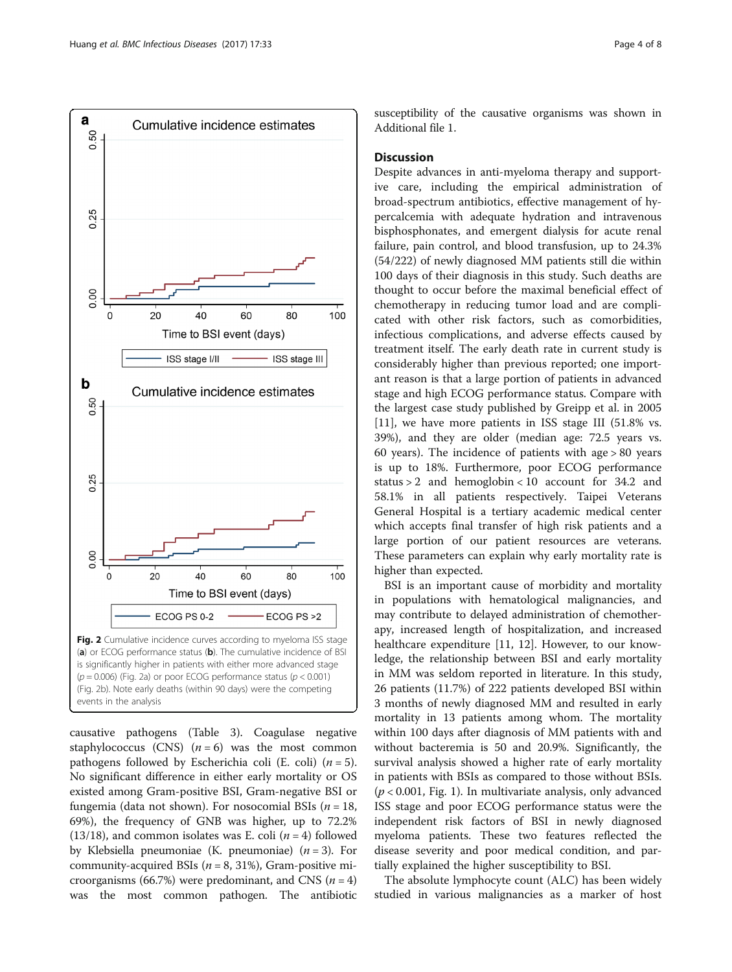<span id="page-3-0"></span>

causative pathogens (Table [3](#page-5-0)). Coagulase negative staphylococcus (CNS)  $(n = 6)$  was the most common pathogens followed by Escherichia coli (E. coli)  $(n = 5)$ . No significant difference in either early mortality or OS existed among Gram-positive BSI, Gram-negative BSI or fungemia (data not shown). For nosocomial BSIs ( $n = 18$ , 69%), the frequency of GNB was higher, up to 72.2% (13/18), and common isolates was E. coli ( $n = 4$ ) followed by Klebsiella pneumoniae (K. pneumoniae)  $(n = 3)$ . For community-acquired BSIs ( $n = 8$ , 31%), Gram-positive microorganisms (66.7%) were predominant, and CNS ( $n = 4$ ) was the most common pathogen. The antibiotic susceptibility of the causative organisms was shown in Additional file [1](#page-6-0).

## **Discussion**

Despite advances in anti-myeloma therapy and supportive care, including the empirical administration of broad-spectrum antibiotics, effective management of hypercalcemia with adequate hydration and intravenous bisphosphonates, and emergent dialysis for acute renal failure, pain control, and blood transfusion, up to 24.3% (54/222) of newly diagnosed MM patients still die within 100 days of their diagnosis in this study. Such deaths are thought to occur before the maximal beneficial effect of chemotherapy in reducing tumor load and are complicated with other risk factors, such as comorbidities, infectious complications, and adverse effects caused by treatment itself. The early death rate in current study is considerably higher than previous reported; one important reason is that a large portion of patients in advanced stage and high ECOG performance status. Compare with the largest case study published by Greipp et al. in 2005 [[11\]](#page-6-0), we have more patients in ISS stage III (51.8% vs. 39%), and they are older (median age: 72.5 years vs. 60 years). The incidence of patients with age > 80 years is up to 18%. Furthermore, poor ECOG performance status > 2 and hemoglobin < 10 account for 34.2 and 58.1% in all patients respectively. Taipei Veterans General Hospital is a tertiary academic medical center which accepts final transfer of high risk patients and a large portion of our patient resources are veterans. These parameters can explain why early mortality rate is higher than expected.

BSI is an important cause of morbidity and mortality in populations with hematological malignancies, and may contribute to delayed administration of chemotherapy, increased length of hospitalization, and increased healthcare expenditure [\[11, 12\]](#page-6-0). However, to our knowledge, the relationship between BSI and early mortality in MM was seldom reported in literature. In this study, 26 patients (11.7%) of 222 patients developed BSI within 3 months of newly diagnosed MM and resulted in early mortality in 13 patients among whom. The mortality within 100 days after diagnosis of MM patients with and without bacteremia is 50 and 20.9%. Significantly, the survival analysis showed a higher rate of early mortality in patients with BSIs as compared to those without BSIs.  $(p < 0.001$ , Fig. [1\)](#page-2-0). In multivariate analysis, only advanced ISS stage and poor ECOG performance status were the independent risk factors of BSI in newly diagnosed myeloma patients. These two features reflected the disease severity and poor medical condition, and partially explained the higher susceptibility to BSI.

The absolute lymphocyte count (ALC) has been widely studied in various malignancies as a marker of host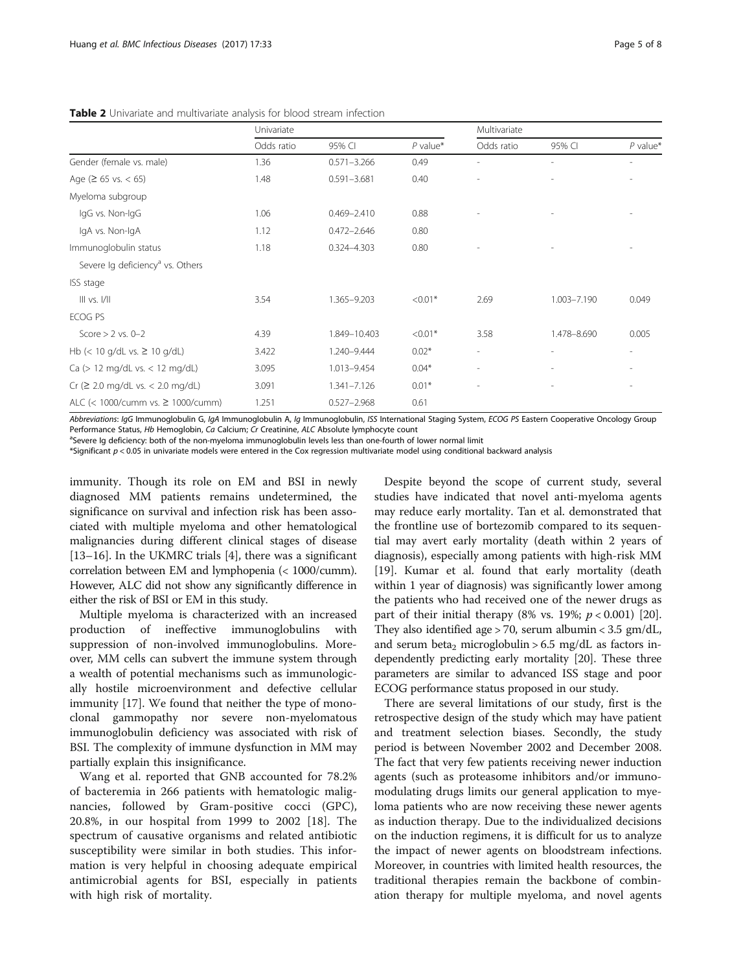|                                              | Univariate |                 | Multivariate |            |             |            |
|----------------------------------------------|------------|-----------------|--------------|------------|-------------|------------|
|                                              | Odds ratio | 95% CI          | $P$ value*   | Odds ratio | 95% CI      | $P$ value* |
| Gender (female vs. male)                     | 1.36       | $0.571 - 3.266$ | 0.49         |            |             | ٠          |
| Age ( $\geq 65$ vs. $< 65$ )                 | 1.48       | $0.591 - 3.681$ | 0.40         |            |             |            |
| Myeloma subgroup                             |            |                 |              |            |             |            |
| IgG vs. Non-IgG                              | 1.06       | $0.469 - 2.410$ | 0.88         |            |             |            |
| IgA vs. Non-IgA                              | 1.12       | $0.472 - 2.646$ | 0.80         |            |             |            |
| Immunoglobulin status                        | 1.18       | 0.324-4.303     | 0.80         |            |             |            |
| Severe Ig deficiency <sup>a</sup> vs. Others |            |                 |              |            |             |            |
| ISS stage                                    |            |                 |              |            |             |            |
| III vs. I/II                                 | 3.54       | 1.365-9.203     | $< 0.01*$    | 2.69       | 1.003-7.190 | 0.049      |
| ECOG PS                                      |            |                 |              |            |             |            |
| Score $> 2$ vs. 0-2                          | 4.39       | 1.849-10.403    | $< 0.01*$    | 3.58       | 1,478-8,690 | 0.005      |
| Hb $(< 10$ g/dL vs. $\geq 10$ g/dL)          | 3.422      | 1.240-9.444     | $0.02*$      |            |             |            |
| Ca (> 12 mg/dL vs. < 12 mg/dL)               | 3.095      | 1.013-9.454     | $0.04*$      | ٠          |             |            |
| Cr (2 2.0 mg/dL vs. < 2.0 mg/dL)             | 3.091      | 1.341-7.126     | $0.01*$      |            |             |            |
| ALC (< 1000/cumm vs. $\geq$ 1000/cumm)       | 1.251      | $0.527 - 2.968$ | 0.61         |            |             |            |

<span id="page-4-0"></span>Table 2 Univariate and multivariate analysis for blood stream infection

Abbreviations: IgG Immunoglobulin G, IgA Immunoglobulin A, Ig Immunoglobulin, ISS International Staging System, ECOG PS Eastern Cooperative Oncology Group Performance Status, Hb Hemoglobin, Ca Calcium; Cr Creatinine, ALC Absolute lymphocyte count

Severe Ig deficiency: both of the non-myeloma immunoglobulin levels less than one-fourth of lower normal limit

\*Significant p < 0.05 in univariate models were entered in the Cox regression multivariate model using conditional backward analysis

immunity. Though its role on EM and BSI in newly diagnosed MM patients remains undetermined, the significance on survival and infection risk has been associated with multiple myeloma and other hematological malignancies during different clinical stages of disease [[13](#page-6-0)–[16](#page-7-0)]. In the UKMRC trials [[4\]](#page-6-0), there was a significant correlation between EM and lymphopenia (< 1000/cumm). However, ALC did not show any significantly difference in either the risk of BSI or EM in this study.

Multiple myeloma is characterized with an increased production of ineffective immunoglobulins with suppression of non-involved immunoglobulins. Moreover, MM cells can subvert the immune system through a wealth of potential mechanisms such as immunologically hostile microenvironment and defective cellular immunity [[17](#page-7-0)]. We found that neither the type of monoclonal gammopathy nor severe non-myelomatous immunoglobulin deficiency was associated with risk of BSI. The complexity of immune dysfunction in MM may partially explain this insignificance.

Wang et al. reported that GNB accounted for 78.2% of bacteremia in 266 patients with hematologic malignancies, followed by Gram-positive cocci (GPC), 20.8%, in our hospital from 1999 to 2002 [\[18](#page-7-0)]. The spectrum of causative organisms and related antibiotic susceptibility were similar in both studies. This information is very helpful in choosing adequate empirical antimicrobial agents for BSI, especially in patients with high risk of mortality.

Despite beyond the scope of current study, several studies have indicated that novel anti-myeloma agents may reduce early mortality. Tan et al. demonstrated that the frontline use of bortezomib compared to its sequential may avert early mortality (death within 2 years of diagnosis), especially among patients with high-risk MM [[19\]](#page-7-0). Kumar et al. found that early mortality (death within 1 year of diagnosis) was significantly lower among the patients who had received one of the newer drugs as part of their initial therapy (8% vs. 19%;  $p < 0.001$ ) [\[20](#page-7-0)]. They also identified age > 70, serum albumin < 3.5 gm/dL, and serum beta<sub>2</sub> microglobulin > 6.5 mg/dL as factors independently predicting early mortality [\[20\]](#page-7-0). These three parameters are similar to advanced ISS stage and poor ECOG performance status proposed in our study.

There are several limitations of our study, first is the retrospective design of the study which may have patient and treatment selection biases. Secondly, the study period is between November 2002 and December 2008. The fact that very few patients receiving newer induction agents (such as proteasome inhibitors and/or immunomodulating drugs limits our general application to myeloma patients who are now receiving these newer agents as induction therapy. Due to the individualized decisions on the induction regimens, it is difficult for us to analyze the impact of newer agents on bloodstream infections. Moreover, in countries with limited health resources, the traditional therapies remain the backbone of combination therapy for multiple myeloma, and novel agents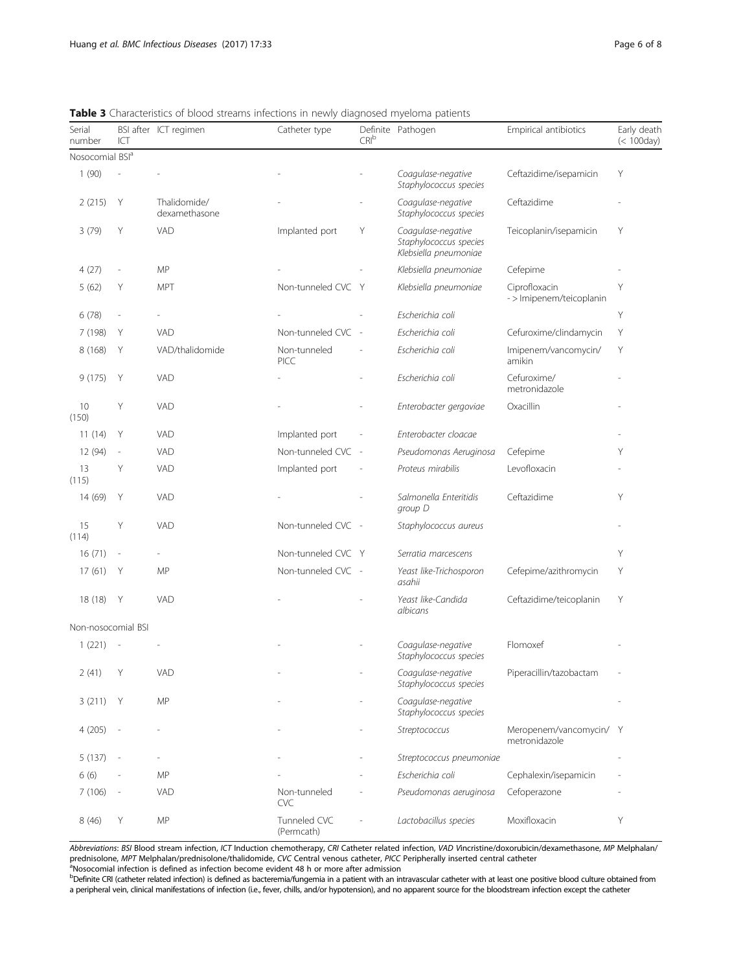<span id="page-5-0"></span>

| <b>Table 3</b> Characteristics of blood streams infections in newly diagnosed myeloma patients |  |  |  |  |
|------------------------------------------------------------------------------------------------|--|--|--|--|
|                                                                                                |  |  |  |  |

| Serial<br>number            | ICT                      | BSI after ICT regimen         | Catheter type               | CRI <sup>b</sup>         | Definite Pathogen                                                      | Empirical antibiotics                     | Early death<br>$(100 \text{day})$ |
|-----------------------------|--------------------------|-------------------------------|-----------------------------|--------------------------|------------------------------------------------------------------------|-------------------------------------------|-----------------------------------|
| Nosocomial BSI <sup>a</sup> |                          |                               |                             |                          |                                                                        |                                           |                                   |
| 1(90)                       |                          |                               |                             |                          | Coagulase-negative<br>Ceftazidime/isepamicin<br>Staphylococcus species |                                           | Y                                 |
| 2(215)                      | Y                        | Thalidomide/<br>dexamethasone |                             |                          | Coagulase-negative<br>Staphylococcus species                           | Ceftazidime                               |                                   |
| 3(79)                       | Y                        | VAD                           | Implanted port              | Υ                        | Coagulase-negative<br>Staphylococcus species<br>Klebsiella pneumoniae  | Teicoplanin/isepamicin                    | Y                                 |
| 4(27)                       | i,                       | MP                            |                             |                          | Klebsiella pneumoniae                                                  | Cefepime                                  |                                   |
| 5(62)                       | Υ                        | <b>MPT</b>                    | Non-tunneled CVC Y          |                          | Klebsiella pneumoniae                                                  | Ciprofloxacin<br>- > Imipenem/teicoplanin | Y                                 |
| 6(78)                       | $\overline{a}$           |                               |                             |                          | Escherichia coli                                                       |                                           | Y                                 |
| 7 (198)                     | Y                        | VAD                           | Non-tunneled CVC            | $\overline{\phantom{a}}$ | Escherichia coli                                                       | Cefuroxime/clindamycin                    | Υ                                 |
| 8(168)                      | Υ                        | VAD/thalidomide               | Non-tunneled<br><b>PICC</b> |                          | Escherichia coli                                                       | Imipenem/vancomycin/<br>amikin            | Y                                 |
| 9(175)                      | Y                        | VAD                           |                             |                          | Escherichia coli                                                       | Cefuroxime/<br>metronidazole              |                                   |
| 10<br>(150)                 | Y                        | <b>VAD</b>                    |                             |                          | Enterobacter gergoviae                                                 | Oxacillin                                 |                                   |
| 11(14)                      | Y                        | <b>VAD</b>                    | Implanted port              | $\overline{\phantom{a}}$ | Enterobacter cloacae                                                   |                                           |                                   |
| 12 (94)                     | $\overline{\phantom{a}}$ | VAD                           | Non-tunneled CVC            | $\sim$                   | Pseudomonas Aeruginosa                                                 | Cefepime                                  | Y                                 |
| 13<br>(115)                 | Y                        | VAD                           | Implanted port              |                          | Proteus mirabilis                                                      | Levofloxacin                              |                                   |
| 14 (69)                     | Y                        | <b>VAD</b>                    |                             |                          | Salmonella Enteritidis<br>group D                                      | Ceftazidime                               | Y                                 |
| 15<br>(114)                 | Y                        | VAD                           | Non-tunneled CVC -          |                          | Staphylococcus aureus                                                  |                                           |                                   |
| 16(71)                      | ÷,                       |                               | Non-tunneled CVC Y          |                          | Serratia marcescens                                                    |                                           | Y                                 |
| 17(61)                      | Y                        | MP                            | Non-tunneled CVC -          |                          | Yeast like-Trichosporon<br>asahii                                      | Cefepime/azithromycin                     | Y                                 |
| 18 (18)                     | Y                        | VAD                           |                             |                          | Yeast like-Candida<br>albicans                                         | Ceftazidime/teicoplanin                   | Υ                                 |
| Non-nosocomial BSI          |                          |                               |                             |                          |                                                                        |                                           |                                   |
| 1(221)                      | $\overline{\phantom{a}}$ |                               |                             |                          | Coagulase-negative<br>Staphylococcus species                           | Flomoxef                                  |                                   |
| 2(41)                       | Y                        | VAD                           |                             |                          | Coagulase-negative<br>Staphylococcus species                           | Piperacillin/tazobactam                   |                                   |
| 3(211)                      | Y                        | <b>MP</b>                     |                             |                          | Coagulase-negative<br>Staphylococcus species                           |                                           |                                   |
| 4(205)                      |                          |                               |                             |                          | Streptococcus                                                          | Meropenem/vancomycin/ Y<br>metronidazole  |                                   |
| 5(137)                      |                          |                               |                             |                          | Streptococcus pneumoniae                                               |                                           |                                   |
| 6(6)                        |                          | MP                            |                             |                          | Escherichia coli                                                       | Cephalexin/isepamicin                     |                                   |
| 7(106)                      | $\overline{\phantom{a}}$ | <b>VAD</b>                    | Non-tunneled<br><b>CVC</b>  |                          | Pseudomonas aeruginosa                                                 | Cefoperazone                              |                                   |
| 8(46)                       | Υ                        | <b>MP</b>                     | Tunneled CVC<br>(Permcath)  |                          | Lactobacillus species                                                  | Moxifloxacin                              | Y                                 |

Abbreviations: BSI Blood stream infection, ICT Induction chemotherapy, CRI Catheter related infection, VAD Vincristine/doxorubicin/dexamethasone, MP Melphalan/ prednisolone, MPT Melphalan/prednisolone/thalidomide, CVC Central venous catheter, PICC Peripherally inserted central catheter a<br>Nosocomial infection is defined as infection become evident 48 h or more after admission

b<br>Definite CRI (catheter related infection) is defined as bacteremia/fungemia in a patient with an intravascular catheter with at least one positive blood culture obtained from a peripheral vein, clinical manifestations of infection (i.e., fever, chills, and/or hypotension), and no apparent source for the bloodstream infection except the catheter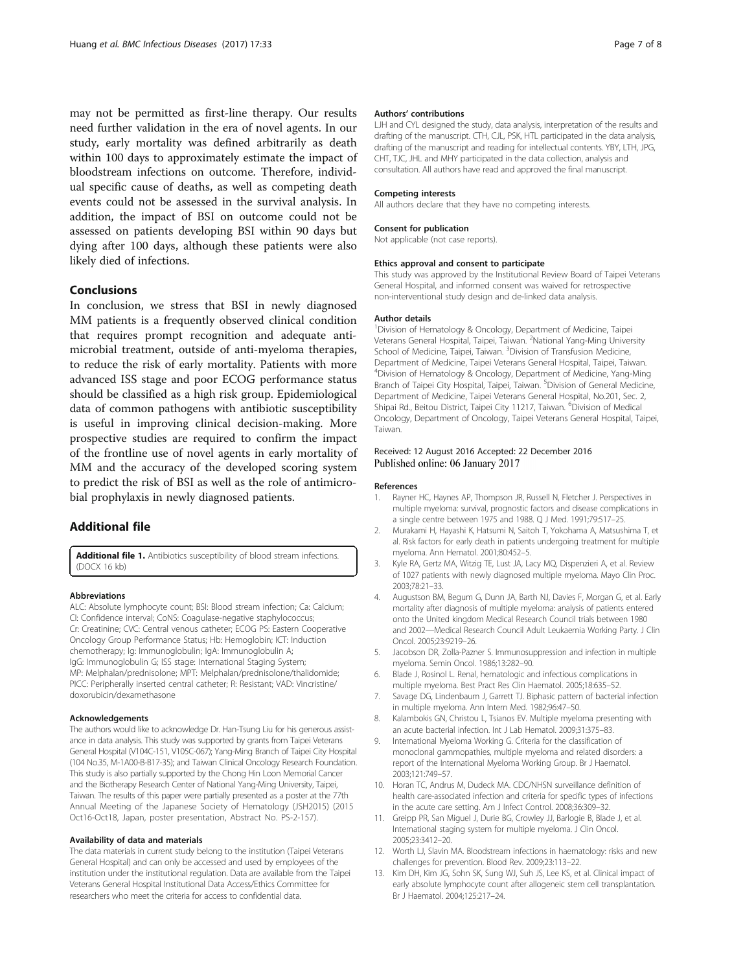<span id="page-6-0"></span>may not be permitted as first-line therapy. Our results need further validation in the era of novel agents. In our study, early mortality was defined arbitrarily as death within 100 days to approximately estimate the impact of bloodstream infections on outcome. Therefore, individual specific cause of deaths, as well as competing death events could not be assessed in the survival analysis. In addition, the impact of BSI on outcome could not be assessed on patients developing BSI within 90 days but dying after 100 days, although these patients were also likely died of infections.

## Conclusions

In conclusion, we stress that BSI in newly diagnosed MM patients is a frequently observed clinical condition that requires prompt recognition and adequate antimicrobial treatment, outside of anti-myeloma therapies, to reduce the risk of early mortality. Patients with more advanced ISS stage and poor ECOG performance status should be classified as a high risk group. Epidemiological data of common pathogens with antibiotic susceptibility is useful in improving clinical decision-making. More prospective studies are required to confirm the impact of the frontline use of novel agents in early mortality of MM and the accuracy of the developed scoring system to predict the risk of BSI as well as the role of antimicrobial prophylaxis in newly diagnosed patients.

## Additional file

[Additional file 1.](dx.doi.org/10.1186/s12879-016-2155-1) Antibiotics susceptibility of blood stream infections. (DOCX 16 kb)

#### Abbreviations

ALC: Absolute lymphocyte count; BSI: Blood stream infection; Ca: Calcium; CI: Confidence interval; CoNS: Coagulase-negative staphylococcus; Cr: Creatinine; CVC: Central venous catheter; ECOG PS: Eastern Cooperative Oncology Group Performance Status; Hb: Hemoglobin; ICT: Induction chemotherapy; Ig: Immunoglobulin; IgA: Immunoglobulin A; IgG: Immunoglobulin G; ISS stage: International Staging System; MP: Melphalan/prednisolone; MPT: Melphalan/prednisolone/thalidomide; PICC: Peripherally inserted central catheter; R: Resistant; VAD: Vincristine/ doxorubicin/dexamethasone

#### Acknowledgements

The authors would like to acknowledge Dr. Han-Tsung Liu for his generous assistance in data analysis. This study was supported by grants from Taipei Veterans General Hospital (V104C-151, V105C-067); Yang-Ming Branch of Taipei City Hospital (104 No.35, M-1A00-B-B17-35); and Taiwan Clinical Oncology Research Foundation. This study is also partially supported by the Chong Hin Loon Memorial Cancer and the Biotherapy Research Center of National Yang-Ming University, Taipei, Taiwan. The results of this paper were partially presented as a poster at the 77th Annual Meeting of the Japanese Society of Hematology (JSH2015) (2015 Oct16-Oct18, Japan, poster presentation, Abstract No. PS-2-157).

#### Availability of data and materials

The data materials in current study belong to the institution (Taipei Veterans General Hospital) and can only be accessed and used by employees of the institution under the institutional regulation. Data are available from the Taipei Veterans General Hospital Institutional Data Access/Ethics Committee for researchers who meet the criteria for access to confidential data.

#### Authors' contributions

LJH and CYL designed the study, data analysis, interpretation of the results and drafting of the manuscript. CTH, CJL, PSK, HTL participated in the data analysis, drafting of the manuscript and reading for intellectual contents. YBY, LTH, JPG, CHT, TJC, JHL and MHY participated in the data collection, analysis and consultation. All authors have read and approved the final manuscript.

#### Competing interests

All authors declare that they have no competing interests.

#### Consent for publication

Not applicable (not case reports).

### Ethics approval and consent to participate

This study was approved by the Institutional Review Board of Taipei Veterans General Hospital, and informed consent was waived for retrospective non-interventional study design and de-linked data analysis.

#### Author details

<sup>1</sup> Division of Hematology & Oncology, Department of Medicine, Taipei Veterans General Hospital, Taipei, Taiwan. <sup>2</sup>National Yang-Ming University School of Medicine, Taipei, Taiwan. <sup>3</sup>Division of Transfusion Medicine Department of Medicine, Taipei Veterans General Hospital, Taipei, Taiwan. 4 Division of Hematology & Oncology, Department of Medicine, Yang-Ming Branch of Taipei City Hospital, Taipei, Taiwan. <sup>5</sup>Division of General Medicine Department of Medicine, Taipei Veterans General Hospital, No.201, Sec. 2, Shipai Rd., Beitou District, Taipei City 11217, Taiwan. <sup>6</sup>Division of Medical Oncology, Department of Oncology, Taipei Veterans General Hospital, Taipei, Taiwan.

## Received: 12 August 2016 Accepted: 22 December 2016 Published online: 06 January 2017

#### References

- 1. Rayner HC, Haynes AP, Thompson JR, Russell N, Fletcher J. Perspectives in multiple myeloma: survival, prognostic factors and disease complications in a single centre between 1975 and 1988. Q J Med. 1991;79:517–25.
- 2. Murakami H, Hayashi K, Hatsumi N, Saitoh T, Yokohama A, Matsushima T, et al. Risk factors for early death in patients undergoing treatment for multiple myeloma. Ann Hematol. 2001;80:452–5.
- 3. Kyle RA, Gertz MA, Witzig TE, Lust JA, Lacy MQ, Dispenzieri A, et al. Review of 1027 patients with newly diagnosed multiple myeloma. Mayo Clin Proc. 2003;78:21–33.
- 4. Augustson BM, Begum G, Dunn JA, Barth NJ, Davies F, Morgan G, et al. Early mortality after diagnosis of multiple myeloma: analysis of patients entered onto the United kingdom Medical Research Council trials between 1980 and 2002—Medical Research Council Adult Leukaemia Working Party. J Clin Oncol. 2005;23:9219–26.
- 5. Jacobson DR, Zolla-Pazner S. Immunosuppression and infection in multiple myeloma. Semin Oncol. 1986;13:282–90.
- 6. Blade J, Rosinol L. Renal, hematologic and infectious complications in multiple myeloma. Best Pract Res Clin Haematol. 2005;18:635–52.
- 7. Savage DG, Lindenbaum J, Garrett TJ. Biphasic pattern of bacterial infection in multiple myeloma. Ann Intern Med. 1982;96:47–50.
- 8. Kalambokis GN, Christou L, Tsianos EV. Multiple myeloma presenting with an acute bacterial infection. Int J Lab Hematol. 2009;31:375–83.
- 9. International Myeloma Working G. Criteria for the classification of monoclonal gammopathies, multiple myeloma and related disorders: a report of the International Myeloma Working Group. Br J Haematol. 2003;121:749–57.
- 10. Horan TC, Andrus M, Dudeck MA. CDC/NHSN surveillance definition of health care-associated infection and criteria for specific types of infections in the acute care setting. Am J Infect Control. 2008;36:309–32.
- 11. Greipp PR, San Miguel J, Durie BG, Crowley JJ, Barlogie B, Blade J, et al. International staging system for multiple myeloma. J Clin Oncol. 2005;23:3412–20.
- 12. Worth LJ, Slavin MA. Bloodstream infections in haematology: risks and new challenges for prevention. Blood Rev. 2009;23:113–22.
- 13. Kim DH, Kim JG, Sohn SK, Sung WJ, Suh JS, Lee KS, et al. Clinical impact of early absolute lymphocyte count after allogeneic stem cell transplantation. Br J Haematol. 2004;125:217–24.